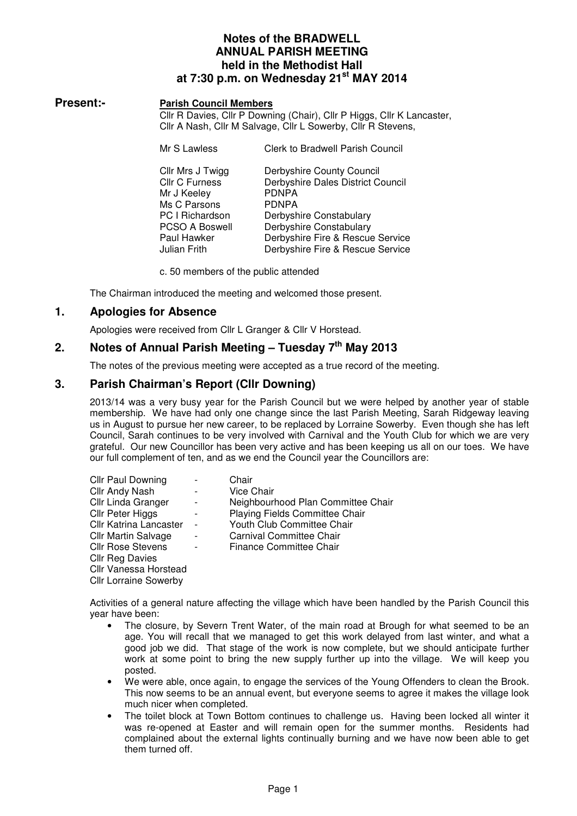## **Notes of the BRADWELL ANNUAL PARISH MEETING held in the Methodist Hall at 7:30 p.m. on Wednesday 21st MAY 2014**

#### **Present:- Parish Council Members**

Cllr R Davies, Cllr P Downing (Chair), Cllr P Higgs, Cllr K Lancaster, Cllr A Nash, Cllr M Salvage, Cllr L Sowerby, Cllr R Stevens,

| Mr S Lawless          | <b>Clerk to Bradwell Parish Council</b> |
|-----------------------|-----------------------------------------|
| Cllr Mrs J Twigg      | Derbyshire County Council               |
| <b>Cllr C Furness</b> | Derbyshire Dales District Council       |
| Mr J Keeley           | <b>PDNPA</b>                            |
| Ms C Parsons          | <b>PDNPA</b>                            |
| PC I Richardson       | Derbyshire Constabulary                 |
| <b>PCSO A Boswell</b> | Derbyshire Constabulary                 |
| Paul Hawker           | Derbyshire Fire & Rescue Service        |
| Julian Frith          | Derbyshire Fire & Rescue Service        |

c. 50 members of the public attended

The Chairman introduced the meeting and welcomed those present.

## **1. Apologies for Absence**

Apologies were received from Cllr L Granger & Cllr V Horstead.

# **2. Notes of Annual Parish Meeting – Tuesday 7th May 2013**

The notes of the previous meeting were accepted as a true record of the meeting.

## **3. Parish Chairman's Report (Cllr Downing)**

2013/14 was a very busy year for the Parish Council but we were helped by another year of stable membership. We have had only one change since the last Parish Meeting, Sarah Ridgeway leaving us in August to pursue her new career, to be replaced by Lorraine Sowerby. Even though she has left Council, Sarah continues to be very involved with Carnival and the Youth Club for which we are very grateful. Our new Councillor has been very active and has been keeping us all on our toes. We have our full complement of ten, and as we end the Council year the Councillors are:

| <b>Cllr Paul Downing</b>      |                | Chair                              |
|-------------------------------|----------------|------------------------------------|
| Cllr Andy Nash                |                | Vice Chair                         |
| Cllr Linda Granger            |                | Neighbourhood Plan Committee Chair |
| Cllr Peter Higgs              |                | Playing Fields Committee Chair     |
| <b>Cllr Katrina Lancaster</b> | $\overline{a}$ | Youth Club Committee Chair         |
| <b>CIIr Martin Salvage</b>    |                | Carnival Committee Chair           |
| <b>Cllr Rose Stevens</b>      |                | <b>Finance Committee Chair</b>     |
| <b>CIIr Reg Davies</b>        |                |                                    |
| Cllr Vanessa Horstead         |                |                                    |
| <b>Cllr Lorraine Sowerby</b>  |                |                                    |

Activities of a general nature affecting the village which have been handled by the Parish Council this year have been:

- The closure, by Severn Trent Water, of the main road at Brough for what seemed to be an age. You will recall that we managed to get this work delayed from last winter, and what a good job we did. That stage of the work is now complete, but we should anticipate further work at some point to bring the new supply further up into the village. We will keep you posted.
- We were able, once again, to engage the services of the Young Offenders to clean the Brook. This now seems to be an annual event, but everyone seems to agree it makes the village look much nicer when completed.
- The toilet block at Town Bottom continues to challenge us. Having been locked all winter it was re-opened at Easter and will remain open for the summer months. Residents had complained about the external lights continually burning and we have now been able to get them turned off.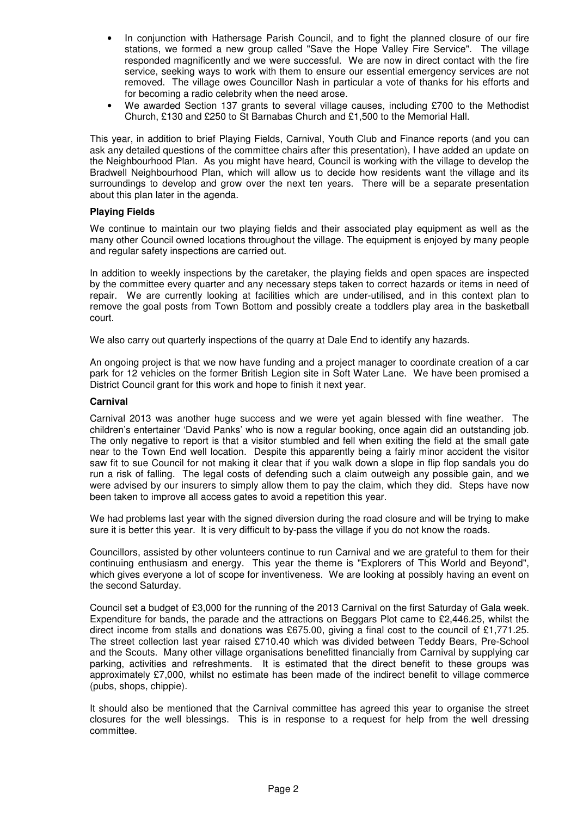- In conjunction with Hathersage Parish Council, and to fight the planned closure of our fire stations, we formed a new group called "Save the Hope Valley Fire Service". The village responded magnificently and we were successful. We are now in direct contact with the fire service, seeking ways to work with them to ensure our essential emergency services are not removed. The village owes Councillor Nash in particular a vote of thanks for his efforts and for becoming a radio celebrity when the need arose.
- We awarded Section 137 grants to several village causes, including £700 to the Methodist Church, £130 and £250 to St Barnabas Church and £1,500 to the Memorial Hall.

This year, in addition to brief Playing Fields, Carnival, Youth Club and Finance reports (and you can ask any detailed questions of the committee chairs after this presentation), I have added an update on the Neighbourhood Plan. As you might have heard, Council is working with the village to develop the Bradwell Neighbourhood Plan, which will allow us to decide how residents want the village and its surroundings to develop and grow over the next ten years. There will be a separate presentation about this plan later in the agenda.

#### **Playing Fields**

We continue to maintain our two playing fields and their associated play equipment as well as the many other Council owned locations throughout the village. The equipment is enjoyed by many people and regular safety inspections are carried out.

In addition to weekly inspections by the caretaker, the playing fields and open spaces are inspected by the committee every quarter and any necessary steps taken to correct hazards or items in need of repair. We are currently looking at facilities which are under-utilised, and in this context plan to remove the goal posts from Town Bottom and possibly create a toddlers play area in the basketball court.

We also carry out quarterly inspections of the quarry at Dale End to identify any hazards.

An ongoing project is that we now have funding and a project manager to coordinate creation of a car park for 12 vehicles on the former British Legion site in Soft Water Lane. We have been promised a District Council grant for this work and hope to finish it next year.

#### **Carnival**

Carnival 2013 was another huge success and we were yet again blessed with fine weather. The children's entertainer 'David Panks' who is now a regular booking, once again did an outstanding job. The only negative to report is that a visitor stumbled and fell when exiting the field at the small gate near to the Town End well location. Despite this apparently being a fairly minor accident the visitor saw fit to sue Council for not making it clear that if you walk down a slope in flip flop sandals you do run a risk of falling. The legal costs of defending such a claim outweigh any possible gain, and we were advised by our insurers to simply allow them to pay the claim, which they did. Steps have now been taken to improve all access gates to avoid a repetition this year.

We had problems last year with the signed diversion during the road closure and will be trying to make sure it is better this year. It is very difficult to by-pass the village if you do not know the roads.

Councillors, assisted by other volunteers continue to run Carnival and we are grateful to them for their continuing enthusiasm and energy. This year the theme is "Explorers of This World and Beyond", which gives everyone a lot of scope for inventiveness. We are looking at possibly having an event on the second Saturday.

Council set a budget of £3,000 for the running of the 2013 Carnival on the first Saturday of Gala week. Expenditure for bands, the parade and the attractions on Beggars Plot came to £2,446.25, whilst the direct income from stalls and donations was £675.00, giving a final cost to the council of £1,771.25. The street collection last year raised £710.40 which was divided between Teddy Bears, Pre-School and the Scouts. Many other village organisations benefitted financially from Carnival by supplying car parking, activities and refreshments. It is estimated that the direct benefit to these groups was approximately £7,000, whilst no estimate has been made of the indirect benefit to village commerce (pubs, shops, chippie).

It should also be mentioned that the Carnival committee has agreed this year to organise the street closures for the well blessings. This is in response to a request for help from the well dressing committee.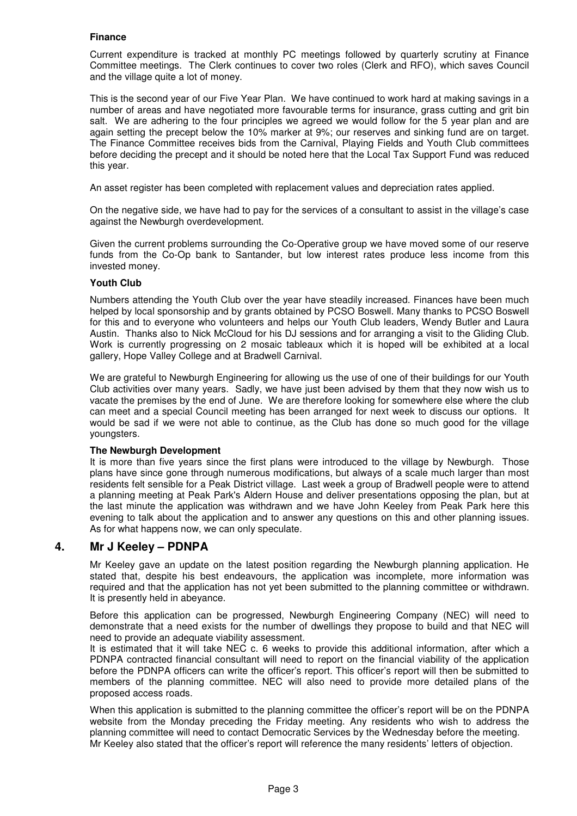#### **Finance**

Current expenditure is tracked at monthly PC meetings followed by quarterly scrutiny at Finance Committee meetings. The Clerk continues to cover two roles (Clerk and RFO), which saves Council and the village quite a lot of money.

This is the second year of our Five Year Plan. We have continued to work hard at making savings in a number of areas and have negotiated more favourable terms for insurance, grass cutting and grit bin salt. We are adhering to the four principles we agreed we would follow for the 5 year plan and are again setting the precept below the 10% marker at 9%; our reserves and sinking fund are on target. The Finance Committee receives bids from the Carnival, Playing Fields and Youth Club committees before deciding the precept and it should be noted here that the Local Tax Support Fund was reduced this year.

An asset register has been completed with replacement values and depreciation rates applied.

On the negative side, we have had to pay for the services of a consultant to assist in the village's case against the Newburgh overdevelopment.

Given the current problems surrounding the Co-Operative group we have moved some of our reserve funds from the Co-Op bank to Santander, but low interest rates produce less income from this invested money.

#### **Youth Club**

Numbers attending the Youth Club over the year have steadily increased. Finances have been much helped by local sponsorship and by grants obtained by PCSO Boswell. Many thanks to PCSO Boswell for this and to everyone who volunteers and helps our Youth Club leaders, Wendy Butler and Laura Austin. Thanks also to Nick McCloud for his DJ sessions and for arranging a visit to the Gliding Club. Work is currently progressing on 2 mosaic tableaux which it is hoped will be exhibited at a local gallery, Hope Valley College and at Bradwell Carnival.

We are grateful to Newburgh Engineering for allowing us the use of one of their buildings for our Youth Club activities over many years. Sadly, we have just been advised by them that they now wish us to vacate the premises by the end of June. We are therefore looking for somewhere else where the club can meet and a special Council meeting has been arranged for next week to discuss our options. It would be sad if we were not able to continue, as the Club has done so much good for the village youngsters.

#### **The Newburgh Development**

It is more than five years since the first plans were introduced to the village by Newburgh. Those plans have since gone through numerous modifications, but always of a scale much larger than most residents felt sensible for a Peak District village. Last week a group of Bradwell people were to attend a planning meeting at Peak Park's Aldern House and deliver presentations opposing the plan, but at the last minute the application was withdrawn and we have John Keeley from Peak Park here this evening to talk about the application and to answer any questions on this and other planning issues. As for what happens now, we can only speculate.

## **4. Mr J Keeley – PDNPA**

Mr Keeley gave an update on the latest position regarding the Newburgh planning application. He stated that, despite his best endeavours, the application was incomplete, more information was required and that the application has not yet been submitted to the planning committee or withdrawn. It is presently held in abeyance.

Before this application can be progressed, Newburgh Engineering Company (NEC) will need to demonstrate that a need exists for the number of dwellings they propose to build and that NEC will need to provide an adequate viability assessment.

It is estimated that it will take NEC c. 6 weeks to provide this additional information, after which a PDNPA contracted financial consultant will need to report on the financial viability of the application before the PDNPA officers can write the officer's report. This officer's report will then be submitted to members of the planning committee. NEC will also need to provide more detailed plans of the proposed access roads.

When this application is submitted to the planning committee the officer's report will be on the PDNPA website from the Monday preceding the Friday meeting. Any residents who wish to address the planning committee will need to contact Democratic Services by the Wednesday before the meeting. Mr Keeley also stated that the officer's report will reference the many residents' letters of objection.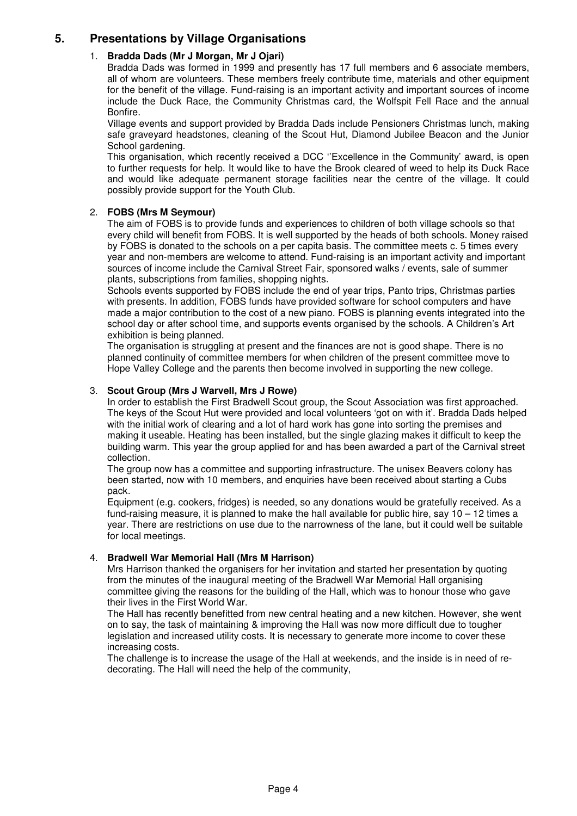# **5. Presentations by Village Organisations**

## 1. **Bradda Dads (Mr J Morgan, Mr J Ojari)**

Bradda Dads was formed in 1999 and presently has 17 full members and 6 associate members, all of whom are volunteers. These members freely contribute time, materials and other equipment for the benefit of the village. Fund-raising is an important activity and important sources of income include the Duck Race, the Community Christmas card, the Wolfspit Fell Race and the annual Bonfire.

Village events and support provided by Bradda Dads include Pensioners Christmas lunch, making safe graveyard headstones, cleaning of the Scout Hut, Diamond Jubilee Beacon and the Junior School gardening.

This organisation, which recently received a DCC ''Excellence in the Community' award, is open to further requests for help. It would like to have the Brook cleared of weed to help its Duck Race and would like adequate permanent storage facilities near the centre of the village. It could possibly provide support for the Youth Club.

## 2. **FOBS (Mrs M Seymour)**

The aim of FOBS is to provide funds and experiences to children of both village schools so that every child will benefit from FOBS. It is well supported by the heads of both schools. Money raised by FOBS is donated to the schools on a per capita basis. The committee meets c. 5 times every year and non-members are welcome to attend. Fund-raising is an important activity and important sources of income include the Carnival Street Fair, sponsored walks / events, sale of summer plants, subscriptions from families, shopping nights.

Schools events supported by FOBS include the end of year trips, Panto trips, Christmas parties with presents. In addition, FOBS funds have provided software for school computers and have made a major contribution to the cost of a new piano. FOBS is planning events integrated into the school day or after school time, and supports events organised by the schools. A Children's Art exhibition is being planned.

The organisation is struggling at present and the finances are not is good shape. There is no planned continuity of committee members for when children of the present committee move to Hope Valley College and the parents then become involved in supporting the new college.

## 3. **Scout Group (Mrs J Warvell, Mrs J Rowe)**

In order to establish the First Bradwell Scout group, the Scout Association was first approached. The keys of the Scout Hut were provided and local volunteers 'got on with it'. Bradda Dads helped with the initial work of clearing and a lot of hard work has gone into sorting the premises and making it useable. Heating has been installed, but the single glazing makes it difficult to keep the building warm. This year the group applied for and has been awarded a part of the Carnival street collection.

The group now has a committee and supporting infrastructure. The unisex Beavers colony has been started, now with 10 members, and enquiries have been received about starting a Cubs pack.

Equipment (e.g. cookers, fridges) is needed, so any donations would be gratefully received. As a fund-raising measure, it is planned to make the hall available for public hire, say 10 – 12 times a year. There are restrictions on use due to the narrowness of the lane, but it could well be suitable for local meetings.

#### 4. **Bradwell War Memorial Hall (Mrs M Harrison)**

Mrs Harrison thanked the organisers for her invitation and started her presentation by quoting from the minutes of the inaugural meeting of the Bradwell War Memorial Hall organising committee giving the reasons for the building of the Hall, which was to honour those who gave their lives in the First World War.

The Hall has recently benefitted from new central heating and a new kitchen. However, she went on to say, the task of maintaining & improving the Hall was now more difficult due to tougher legislation and increased utility costs. It is necessary to generate more income to cover these increasing costs.

The challenge is to increase the usage of the Hall at weekends, and the inside is in need of redecorating. The Hall will need the help of the community,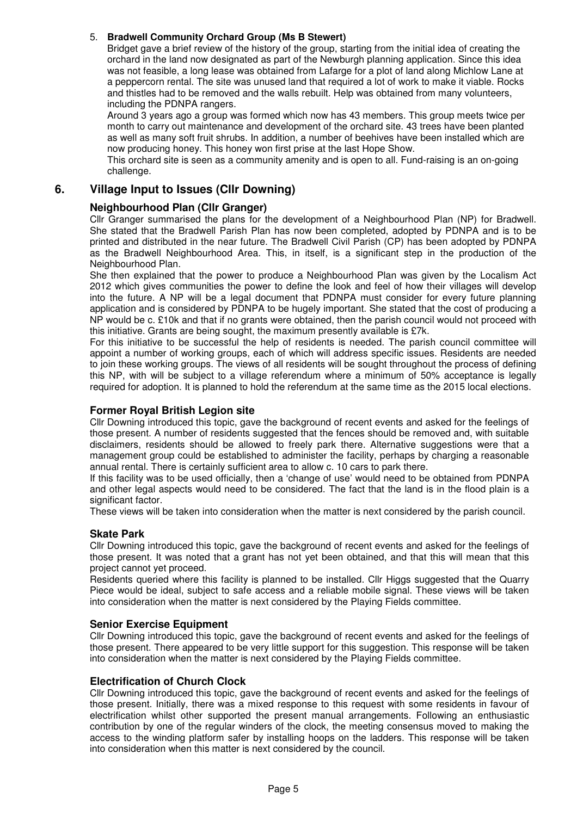## 5. **Bradwell Community Orchard Group (Ms B Stewert)**

Bridget gave a brief review of the history of the group, starting from the initial idea of creating the orchard in the land now designated as part of the Newburgh planning application. Since this idea was not feasible, a long lease was obtained from Lafarge for a plot of land along Michlow Lane at a peppercorn rental. The site was unused land that required a lot of work to make it viable. Rocks and thistles had to be removed and the walls rebuilt. Help was obtained from many volunteers, including the PDNPA rangers.

Around 3 years ago a group was formed which now has 43 members. This group meets twice per month to carry out maintenance and development of the orchard site. 43 trees have been planted as well as many soft fruit shrubs. In addition, a number of beehives have been installed which are now producing honey. This honey won first prise at the last Hope Show.

This orchard site is seen as a community amenity and is open to all. Fund-raising is an on-going challenge.

## **6. Village Input to Issues (Cllr Downing)**

## **Neighbourhood Plan (Cllr Granger)**

Cllr Granger summarised the plans for the development of a Neighbourhood Plan (NP) for Bradwell. She stated that the Bradwell Parish Plan has now been completed, adopted by PDNPA and is to be printed and distributed in the near future. The Bradwell Civil Parish (CP) has been adopted by PDNPA as the Bradwell Neighbourhood Area. This, in itself, is a significant step in the production of the Neighbourhood Plan.

She then explained that the power to produce a Neighbourhood Plan was given by the Localism Act 2012 which gives communities the power to define the look and feel of how their villages will develop into the future. A NP will be a legal document that PDNPA must consider for every future planning application and is considered by PDNPA to be hugely important. She stated that the cost of producing a NP would be c. £10k and that if no grants were obtained, then the parish council would not proceed with this initiative. Grants are being sought, the maximum presently available is £7k.

For this initiative to be successful the help of residents is needed. The parish council committee will appoint a number of working groups, each of which will address specific issues. Residents are needed to join these working groups. The views of all residents will be sought throughout the process of defining this NP, with will be subject to a village referendum where a minimum of 50% acceptance is legally required for adoption. It is planned to hold the referendum at the same time as the 2015 local elections.

#### **Former Royal British Legion site**

Cllr Downing introduced this topic, gave the background of recent events and asked for the feelings of those present. A number of residents suggested that the fences should be removed and, with suitable disclaimers, residents should be allowed to freely park there. Alternative suggestions were that a management group could be established to administer the facility, perhaps by charging a reasonable annual rental. There is certainly sufficient area to allow c. 10 cars to park there.

If this facility was to be used officially, then a 'change of use' would need to be obtained from PDNPA and other legal aspects would need to be considered. The fact that the land is in the flood plain is a significant factor.

These views will be taken into consideration when the matter is next considered by the parish council.

#### **Skate Park**

Cllr Downing introduced this topic, gave the background of recent events and asked for the feelings of those present. It was noted that a grant has not yet been obtained, and that this will mean that this project cannot yet proceed.

Residents queried where this facility is planned to be installed. Cllr Higgs suggested that the Quarry Piece would be ideal, subject to safe access and a reliable mobile signal. These views will be taken into consideration when the matter is next considered by the Playing Fields committee.

#### **Senior Exercise Equipment**

Cllr Downing introduced this topic, gave the background of recent events and asked for the feelings of those present. There appeared to be very little support for this suggestion. This response will be taken into consideration when the matter is next considered by the Playing Fields committee.

#### **Electrification of Church Clock**

Cllr Downing introduced this topic, gave the background of recent events and asked for the feelings of those present. Initially, there was a mixed response to this request with some residents in favour of electrification whilst other supported the present manual arrangements. Following an enthusiastic contribution by one of the regular winders of the clock, the meeting consensus moved to making the access to the winding platform safer by installing hoops on the ladders. This response will be taken into consideration when this matter is next considered by the council.